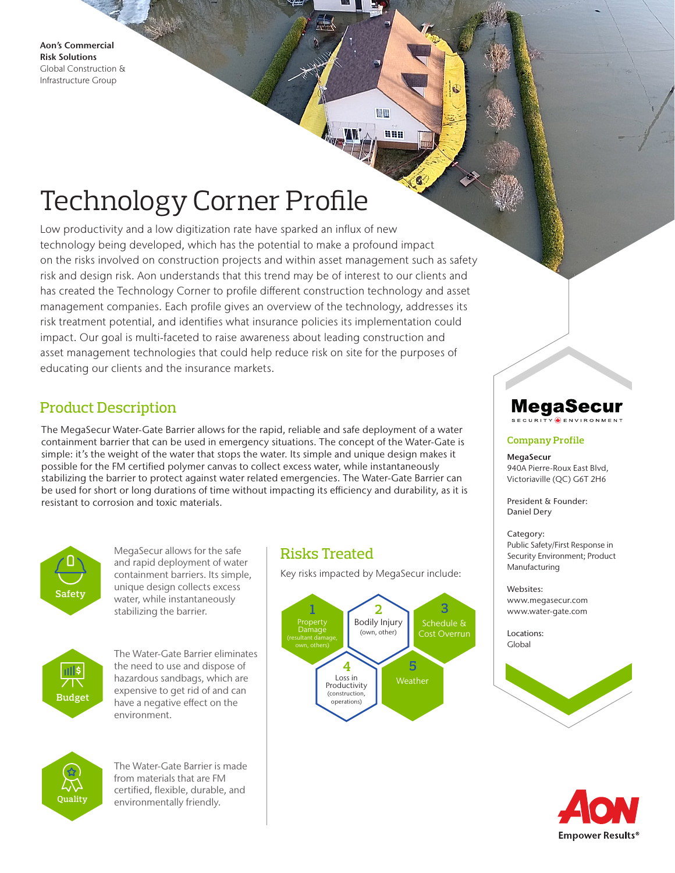Aon's Commercial Risk Solutions Global Construction & Infrastructure Group

988

鼎區

# Technology Corner Profile

Low productivity and a low digitization rate have sparked an influx of new technology being developed, which has the potential to make a profound impact on the risks involved on construction projects and within asset management such as safety risk and design risk. Aon understands that this trend may be of interest to our clients and has created the Technology Corner to profile different construction technology and asset management companies. Each profile gives an overview of the technology, addresses its risk treatment potential, and identifies what insurance policies its implementation could impact. Our goal is multi-faceted to raise awareness about leading construction and asset management technologies that could help reduce risk on site for the purposes of educating our clients and the insurance markets.

### Product Description

The MegaSecur Water-Gate Barrier allows for the rapid, reliable and safe deployment of a water containment barrier that can be used in emergency situations. The concept of the Water-Gate is simple: it's the weight of the water that stops the water. Its simple and unique design makes it possible for the FM certified polymer canvas to collect excess water, while instantaneously stabilizing the barrier to protect against water related emergencies. The Water-Gate Barrier can be used for short or long durations of time without impacting its efficiency and durability, as it is resistant to corrosion and toxic materials.



MegaSecur allows for the safe and rapid deployment of water containment barriers. Its simple, unique design collects excess water, while instantaneously stabilizing the barrier.



The Water-Gate Barrier eliminates the need to use and dispose of hazardous sandbags, which are expensive to get rid of and can have a negative effect on the environment.



The Water-Gate Barrier is made from materials that are FM certified, flexible, durable, and environmentally friendly.

### Risks Treated

Key risks impacted by MegaSecur include:



## MegaSecur

#### **Company Profile**

#### MegaSecur

940A Pierre-Roux East Blvd, Victoriaville (QC) G6T 2H6

President & Founder: Daniel Dery

#### Category:

Public Safety/First Response in Security Environment; Product Manufacturing

### Websites:

www.megasecur.com www.water-gate.com

Locations: Global